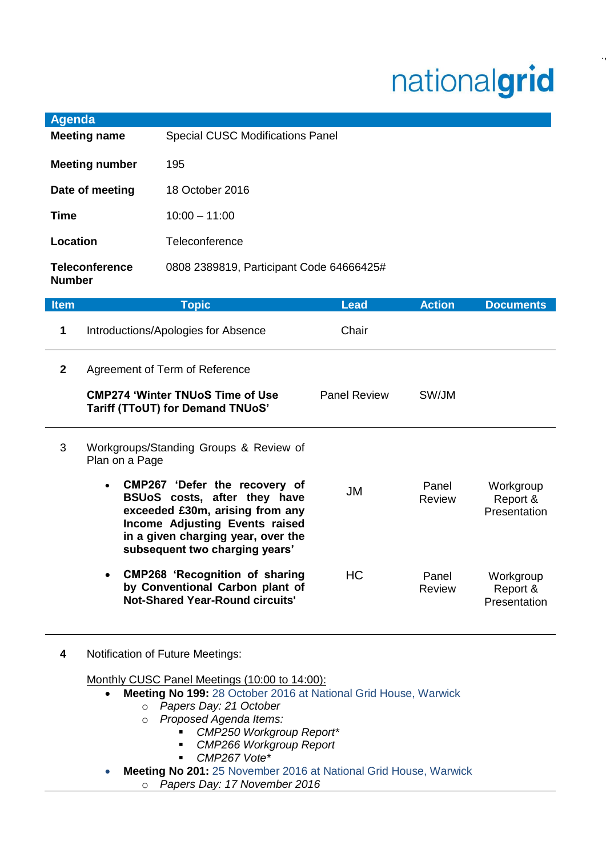## nationalgrid

.,.

| Agenda                                 |                                          |
|----------------------------------------|------------------------------------------|
| <b>Meeting name</b>                    | <b>Special CUSC Modifications Panel</b>  |
| <b>Meeting number</b>                  | 195                                      |
| Date of meeting                        | 18 October 2016                          |
| Time                                   | $10:00 - 11:00$                          |
| Location                               | Teleconference                           |
| <b>Teleconference</b><br><b>Number</b> | 0808 2389819, Participant Code 64666425# |

| <b>Item</b>  | <b>Topic</b>                                                                                                                                                              | <b>Lead</b>         | <b>Action</b>          | <b>Documents</b>                      |
|--------------|---------------------------------------------------------------------------------------------------------------------------------------------------------------------------|---------------------|------------------------|---------------------------------------|
| 1            | Introductions/Apologies for Absence                                                                                                                                       | Chair               |                        |                                       |
| $\mathbf{2}$ | Agreement of Term of Reference<br><b>CMP274 'Winter TNUoS Time of Use</b><br><b>Tariff (TToUT) for Demand TNUoS'</b>                                                      | <b>Panel Review</b> | SW/JM                  |                                       |
| 3            | Workgroups/Standing Groups & Review of<br>Plan on a Page<br>CMP267 'Defer the recovery of<br>$\bullet$<br>BSUoS costs, after they have<br>exceeded £30m, arising from any | JM                  | Panel<br>Review        | Workgroup<br>Report &<br>Presentation |
|              | Income Adjusting Events raised<br>in a given charging year, over the<br>subsequent two charging years'                                                                    |                     |                        |                                       |
|              | <b>CMP268 'Recognition of sharing</b><br>$\bullet$<br>by Conventional Carbon plant of<br><b>Not-Shared Year-Round circuits'</b>                                           | <b>HC</b>           | Panel<br><b>Review</b> | Workgroup<br>Report &<br>Presentation |

**4** Notification of Future Meetings:

Monthly CUSC Panel Meetings (10:00 to 14:00):

- **Meeting No 199:** 28 October 2016 at National Grid House, Warwick
	- o *Papers Day: 21 October*
	- o *Proposed Agenda Items:* 
		- *CMP250 Workgroup Report\**
		- *CMP266 Workgroup Report*
		- *CMP267 Vote\**
- **Meeting No 201:** 25 November 2016 at National Grid House, Warwick o *Papers Day: 17 November 2016*